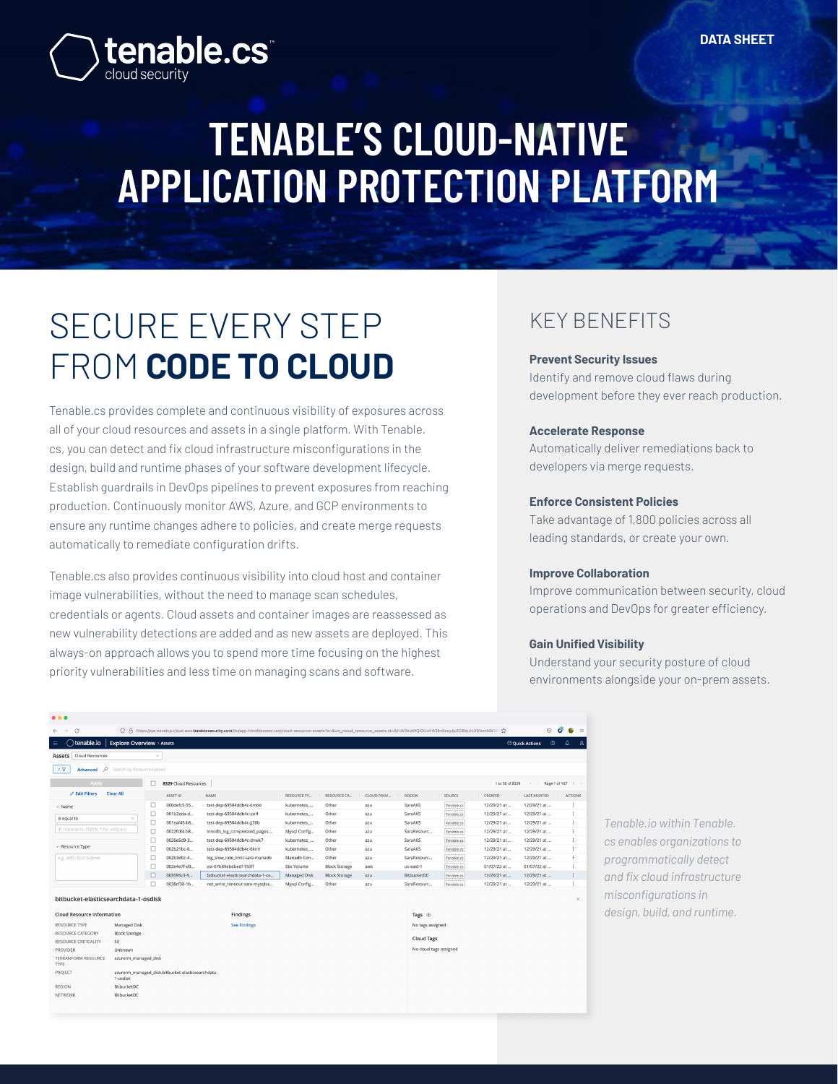# **TENABLE'S CLOUD-NATIVE APPLICATION PROTECTION PLATFORM**

## SECURE EVERY STEP FROM **CODE TO CLOUD**

tenable.cs<sup>\*</sup>

Tenable.cs provides complete and continuous visibility of exposures across all of your cloud resources and assets in a single platform. With Tenable. cs, you can detect and fix cloud infrastructure misconfigurations in the design, build and runtime phases of your software development lifecycle. Establish guardrails in DevOps pipelines to prevent exposures from reaching production. Continuously monitor AWS, Azure, and GCP environments to ensure any runtime changes adhere to policies, and create merge requests automatically to remediate configuration drifts.

Tenable.cs also provides continuous visibility into cloud host and container image vulnerabilities, without the need to manage scan schedules, credentials or agents. Cloud assets and container images are reassessed as new vulnerability detections are added and as new assets are deployed. This always-on approach allows you to spend more time focusing on the highest priority vulnerabilities and less time on managing scans and software.

### KEY BENEFITS

#### **Prevent Security Issues**

Identify and remove cloud flaws during development before they ever reach production.

#### **Accelerate Response**

Automatically deliver remediations back to developers via merge requests.

#### **Enforce Consistent Policies**

Take advantage of 1,800 policies across all leading standards, or create your own.

#### **Improve Collaboration**

Improve communication between security, cloud operations and DevOps for greater efficiency.

#### **Gain Unified Visibility**

Understand your security posture of cloud environments alongside your on-prem assets.

| .                                             |                                                               |                                |                 |                                                                                                                                                                                  |                    |                      |            |                                                                 |            |             |                            |                             |  |
|-----------------------------------------------|---------------------------------------------------------------|--------------------------------|-----------------|----------------------------------------------------------------------------------------------------------------------------------------------------------------------------------|--------------------|----------------------|------------|-----------------------------------------------------------------|------------|-------------|----------------------------|-----------------------------|--|
| $\rightarrow$<br>$\circ$<br>$\leftarrow$      |                                                               |                                |                 | ○ A https://ga-develop.cloud.aws.tenablesecurity.com/tio/app.html#/assets-uw/cloud-resource-assets?s=&uw_cloud_resource_assets.st=&f=W3siaWQiOiJuYW1lIn0seyJpZCl6InJlc291cmNIX3F |                    |                      |            |                                                                 |            |             | $\odot$                    | -6<br>$\bullet$<br>$\equiv$ |  |
| tenable.io<br>$\equiv$                        | <b>Explore Overview &gt; Assets</b>                           |                                |                 |                                                                                                                                                                                  |                    |                      |            |                                                                 |            |             | ○ Quick Actions<br>$\circ$ | $\Delta$<br>8               |  |
| Assets Cloud Resources                        |                                                               | $\checkmark$                   |                 |                                                                                                                                                                                  |                    |                      |            |                                                                 |            |             |                            |                             |  |
| Advanced P<br>$\epsilon$ $\nabla$             | Search by Resource names                                      |                                |                 |                                                                                                                                                                                  |                    |                      |            |                                                                 |            |             |                            |                             |  |
| Apply                                         |                                                               | $\Box$<br>8329 Cloud Resources |                 |                                                                                                                                                                                  |                    |                      |            | 1 to 50 of 8329<br>$K \leftarrow$ Page 1 of 167 $\rightarrow$ ) |            |             |                            |                             |  |
| $\mathscr O$ Edit Filters                     | <b>Clear All</b>                                              |                                | <b>ASSET ID</b> | NAME                                                                                                                                                                             | <b>RESOURCE TY</b> | RESOURCE CA          | CLOUD PROV | REGION                                                          | SOURCE     | CREATED     | <b>LAST AUDITED</b>        | <b>ACTIONS</b>              |  |
| $~\vee~$ Name                                 |                                                               | □                              | 000defc5-55     | test-dep-69584ddb4c-6mtkt                                                                                                                                                        | kubernetes         | Other                | azu        | SaraAKS                                                         | Tenable.cs | 12/29/21 at | 12/29/21 at                | $\ddot{\cdot}$              |  |
|                                               | $\sim$                                                        | $\Box$                         | 001b2eda-d      | test-dep-69584ddb4c-ssrll                                                                                                                                                        | kubernetes_        | Other                | azu        | SaraAKS                                                         | Tenable.cs | 12/29/21 at | 12/29/21 at                | $\ddot{.}$                  |  |
| is equal to                                   |                                                               | $\Box$                         | 001eaf45-b6     | test-dep-69584ddb4c-ii26b                                                                                                                                                        | kubernetes_        | Other                | azu        | SaraAKS                                                         | Tenable.cs | 12/29/21 at | 12/29/21 at                | $\ddot{ }$                  |  |
| IP, Hostname, FODN, * for wildcard            |                                                               | $\Box$                         | 0022fc84-b8     | innodb_log_compressed_pages-                                                                                                                                                     | Mysql Config       | Other                | azu        | SaraResourc                                                     | Tenable.cs | 12/29/21 at | 12/29/21 at                | $\ddot{.}$                  |  |
|                                               |                                                               | $\Box$                         | 0026e5d9-3      | test-dep-69584ddb4c-dnwk7                                                                                                                                                        | kubernetes         | Other                | azu        | SaraAKS                                                         | Tenable.cs | 12/29/21 at | 12/29/21 at                | $\ddot{.}$                  |  |
| $~\vee~$ Resource Type                        |                                                               | □                              | 002b21bc-6      | test-dep-69584ddb4c-6kntr                                                                                                                                                        | kubernetes_        | Other                | azu        | SaraAKS                                                         | Tenable.cs | 12/29/21 at | 12/29/21 at                | ÷                           |  |
| e.g. AWS::EC2::Subnet                         |                                                               | □                              | 002b3d0c-4      | log_slow_rate_limit-sara-mariadb                                                                                                                                                 | Mariadb Con        | Other                | azu        | SaraResourc                                                     | Tenable.cs | 12/29/21 at | 12/29/21 at                | $\vdots$                    |  |
|                                               |                                                               | □                              | 002e4e7f-d9     | vol-07b89ebdbed1150ff                                                                                                                                                            | Ebs Volume         | <b>Block Storage</b> | aws        | us-east-1                                                       | Tenable.cs | 01/07/22 at | 01/07/22 at                | İ                           |  |
|                                               |                                                               | □                              | 003595c3-9      | bitbucket-elasticsearchdata-1-os                                                                                                                                                 | Managed Disk       | <b>Block Storage</b> | 32U        | <b>BitbucketDC</b>                                              | Tenable.cs | 12/29/21 at | 12/29/21 at                | ÷                           |  |
|                                               |                                                               | □                              | 0038cf30-1b     | net_write_timeout-sara-mysqlse                                                                                                                                                   | Mysgl Config       | Other                | azu        | SaraResourc                                                     | Tenable.cs | 12/29/21 at | 12/29/21 at                | ÷                           |  |
| bitbucket-elasticsearchdata-1-osdisk          |                                                               |                                |                 |                                                                                                                                                                                  |                    |                      |            |                                                                 |            |             |                            | $\times$                    |  |
| <b>Cloud Resource Information</b><br>Findings |                                                               |                                |                 |                                                                                                                                                                                  |                    |                      |            | Tags $\oplus$                                                   |            |             |                            |                             |  |
| <b>RESOURCE TYPE</b>                          | Managed Disk<br><b>See Findings</b>                           |                                |                 |                                                                                                                                                                                  |                    | No tags assigned     |            |                                                                 |            |             |                            |                             |  |
| RESOURCE CATEGORY                             | <b>Block Storage</b>                                          |                                |                 |                                                                                                                                                                                  |                    |                      |            |                                                                 |            |             |                            |                             |  |
| RESOURCE CRITICALITY                          | 50                                                            |                                |                 |                                                                                                                                                                                  |                    |                      |            | <b>Cloud Tags</b>                                               |            |             |                            |                             |  |
| PROVIDER                                      | Unknown                                                       |                                |                 |                                                                                                                                                                                  |                    |                      |            | No cloud tags assigned                                          |            |             |                            |                             |  |
| TERRANFORM RESOURCE<br>TYPE                   | azurerm_managed_disk                                          |                                |                 |                                                                                                                                                                                  |                    |                      |            |                                                                 |            |             |                            |                             |  |
| PROJECT                                       | azurerm_managed_disk.bitbucket-elasticsearchdata-<br>1-osdisk |                                |                 |                                                                                                                                                                                  |                    |                      |            |                                                                 |            |             |                            |                             |  |
| <b>REGION</b>                                 | BitbucketDC                                                   |                                |                 |                                                                                                                                                                                  |                    |                      |            |                                                                 |            |             |                            |                             |  |
| NETWORK                                       | BitbucketDC                                                   |                                |                 |                                                                                                                                                                                  |                    |                      |            |                                                                 |            |             |                            |                             |  |

*Tenable.io within Tenable. cs enables organizations to programmatically detect and fix cloud infrastructure misconfigurations in design, build, and runtime.*